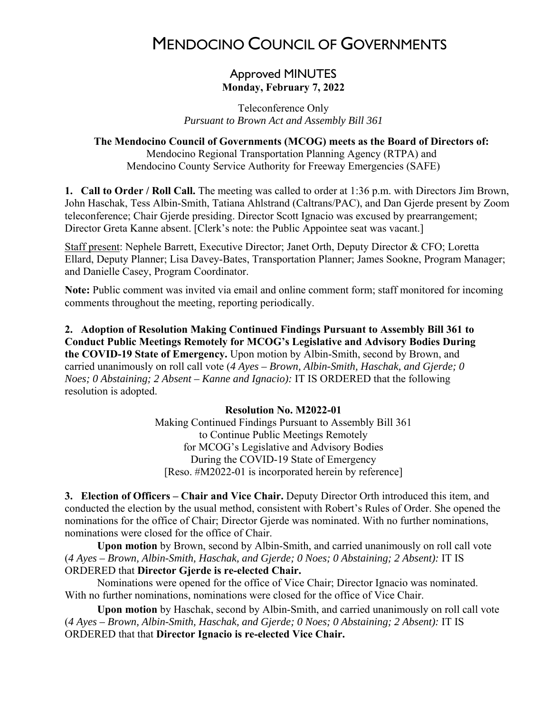# MENDOCINO COUNCIL OF GOVERNMENTS

# Approved MINUTES **Monday, February 7, 2022**

Teleconference Only *Pursuant to Brown Act and Assembly Bill 361*

# **The Mendocino Council of Governments (MCOG) meets as the Board of Directors of:**

Mendocino Regional Transportation Planning Agency (RTPA) and Mendocino County Service Authority for Freeway Emergencies (SAFE)

**1. Call to Order / Roll Call.** The meeting was called to order at 1:36 p.m. with Directors Jim Brown, John Haschak, Tess Albin-Smith, Tatiana Ahlstrand (Caltrans/PAC), and Dan Gjerde present by Zoom teleconference; Chair Gjerde presiding. Director Scott Ignacio was excused by prearrangement; Director Greta Kanne absent. [Clerk's note: the Public Appointee seat was vacant.]

Staff present: Nephele Barrett, Executive Director; Janet Orth, Deputy Director & CFO; Loretta Ellard, Deputy Planner; Lisa Davey-Bates, Transportation Planner; James Sookne, Program Manager; and Danielle Casey, Program Coordinator.

**Note:** Public comment was invited via email and online comment form; staff monitored for incoming comments throughout the meeting, reporting periodically.

**2. Adoption of Resolution Making Continued Findings Pursuant to Assembly Bill 361 to Conduct Public Meetings Remotely for MCOG's Legislative and Advisory Bodies During the COVID-19 State of Emergency.** Upon motion by Albin-Smith, second by Brown, and carried unanimously on roll call vote (*4 Ayes – Brown, Albin-Smith, Haschak, and Gjerde; 0 Noes; 0 Abstaining; 2 Absent – Kanne and Ignacio):* IT IS ORDERED that the following resolution is adopted.

#### **Resolution No. M2022-01**

Making Continued Findings Pursuant to Assembly Bill 361 to Continue Public Meetings Remotely for MCOG's Legislative and Advisory Bodies During the COVID-19 State of Emergency [Reso. #M2022-01 is incorporated herein by reference]

**3. Election of Officers – Chair and Vice Chair.** Deputy Director Orth introduced this item, and conducted the election by the usual method, consistent with Robert's Rules of Order. She opened the nominations for the office of Chair; Director Gjerde was nominated. With no further nominations, nominations were closed for the office of Chair.

**Upon motion** by Brown, second by Albin-Smith, and carried unanimously on roll call vote (*4 Ayes – Brown, Albin-Smith, Haschak, and Gjerde; 0 Noes; 0 Abstaining; 2 Absent):* IT IS ORDERED that **Director Gjerde is re-elected Chair.** 

Nominations were opened for the office of Vice Chair; Director Ignacio was nominated. With no further nominations, nominations were closed for the office of Vice Chair.

**Upon motion** by Haschak, second by Albin-Smith, and carried unanimously on roll call vote (*4 Ayes – Brown, Albin-Smith, Haschak, and Gjerde; 0 Noes; 0 Abstaining; 2 Absent):* IT IS ORDERED that that **Director Ignacio is re-elected Vice Chair.**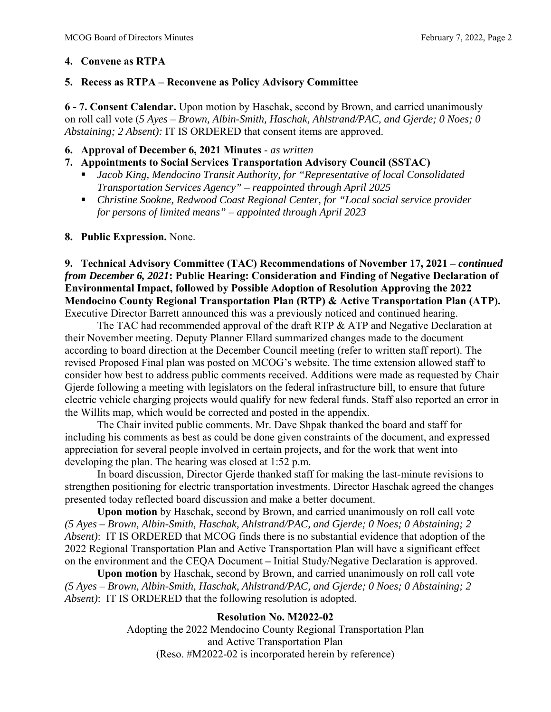# **4. Convene as RTPA**

## **5. Recess as RTPA – Reconvene as Policy Advisory Committee**

**6 - 7. Consent Calendar.** Upon motion by Haschak, second by Brown, and carried unanimously on roll call vote (*5 Ayes – Brown, Albin-Smith, Haschak, Ahlstrand/PAC, and Gjerde; 0 Noes; 0 Abstaining; 2 Absent):* IT IS ORDERED that consent items are approved.

## **6. Approval of December 6, 2021 Minutes** - *as written*

# **7. Appointments to Social Services Transportation Advisory Council (SSTAC)**

- *Jacob King, Mendocino Transit Authority, for "Representative of local Consolidated Transportation Services Agency" – reappointed through April 2025*
- *Christine Sookne, Redwood Coast Regional Center, for "Local social service provider for persons of limited means" – appointed through April 2023*

## **8. Public Expression.** None.

**9. Technical Advisory Committee (TAC) Recommendations of November 17, 2021** *– continued from December 6, 2021***: Public Hearing: Consideration and Finding of Negative Declaration of Environmental Impact, followed by Possible Adoption of Resolution Approving the 2022 Mendocino County Regional Transportation Plan (RTP) & Active Transportation Plan (ATP).** Executive Director Barrett announced this was a previously noticed and continued hearing.

The TAC had recommended approval of the draft RTP & ATP and Negative Declaration at their November meeting. Deputy Planner Ellard summarized changes made to the document according to board direction at the December Council meeting (refer to written staff report). The revised Proposed Final plan was posted on MCOG's website. The time extension allowed staff to consider how best to address public comments received. Additions were made as requested by Chair Gjerde following a meeting with legislators on the federal infrastructure bill, to ensure that future electric vehicle charging projects would qualify for new federal funds. Staff also reported an error in the Willits map, which would be corrected and posted in the appendix.

The Chair invited public comments. Mr. Dave Shpak thanked the board and staff for including his comments as best as could be done given constraints of the document, and expressed appreciation for several people involved in certain projects, and for the work that went into developing the plan. The hearing was closed at 1:52 p.m.

In board discussion, Director Gjerde thanked staff for making the last-minute revisions to strengthen positioning for electric transportation investments. Director Haschak agreed the changes presented today reflected board discussion and make a better document.

**Upon motion** by Haschak, second by Brown, and carried unanimously on roll call vote *(5 Ayes – Brown, Albin-Smith, Haschak, Ahlstrand/PAC, and Gjerde; 0 Noes; 0 Abstaining; 2 Absent)*: IT IS ORDERED that MCOG finds there is no substantial evidence that adoption of the 2022 Regional Transportation Plan and Active Transportation Plan will have a significant effect on the environment and the CEQA Document **–** Initial Study/Negative Declaration is approved.

**Upon motion** by Haschak, second by Brown, and carried unanimously on roll call vote *(5 Ayes – Brown, Albin-Smith, Haschak, Ahlstrand/PAC, and Gjerde; 0 Noes; 0 Abstaining; 2 Absent)*: IT IS ORDERED that the following resolution is adopted.

## **Resolution No. M2022-02**

Adopting the 2022 Mendocino County Regional Transportation Plan and Active Transportation Plan (Reso. #M2022-02 is incorporated herein by reference)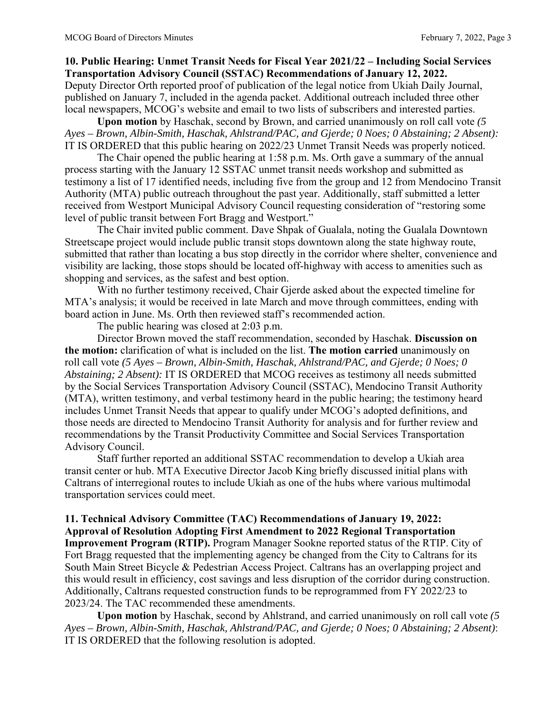## **10. Public Hearing: Unmet Transit Needs for Fiscal Year 2021/22 – Including Social Services Transportation Advisory Council (SSTAC) Recommendations of January 12, 2022.**

Deputy Director Orth reported proof of publication of the legal notice from Ukiah Daily Journal, published on January 7, included in the agenda packet. Additional outreach included three other local newspapers, MCOG's website and email to two lists of subscribers and interested parties.

**Upon motion** by Haschak, second by Brown, and carried unanimously on roll call vote *(5 Ayes – Brown, Albin-Smith, Haschak, Ahlstrand/PAC, and Gjerde; 0 Noes; 0 Abstaining; 2 Absent):*  IT IS ORDERED that this public hearing on 2022/23 Unmet Transit Needs was properly noticed.

The Chair opened the public hearing at 1:58 p.m. Ms. Orth gave a summary of the annual process starting with the January 12 SSTAC unmet transit needs workshop and submitted as testimony a list of 17 identified needs, including five from the group and 12 from Mendocino Transit Authority (MTA) public outreach throughout the past year. Additionally, staff submitted a letter received from Westport Municipal Advisory Council requesting consideration of "restoring some level of public transit between Fort Bragg and Westport."

The Chair invited public comment. Dave Shpak of Gualala, noting the Gualala Downtown Streetscape project would include public transit stops downtown along the state highway route, submitted that rather than locating a bus stop directly in the corridor where shelter, convenience and visibility are lacking, those stops should be located off-highway with access to amenities such as shopping and services, as the safest and best option.

With no further testimony received, Chair Gjerde asked about the expected timeline for MTA's analysis; it would be received in late March and move through committees, ending with board action in June. Ms. Orth then reviewed staff's recommended action.

The public hearing was closed at 2:03 p.m.

Director Brown moved the staff recommendation, seconded by Haschak. **Discussion on the motion:** clarification of what is included on the list. **The motion carried** unanimously on roll call vote *(5 Ayes – Brown, Albin-Smith, Haschak, Ahlstrand/PAC, and Gjerde; 0 Noes; 0 Abstaining; 2 Absent):* IT IS ORDERED that MCOG receives as testimony all needs submitted by the Social Services Transportation Advisory Council (SSTAC), Mendocino Transit Authority (MTA), written testimony, and verbal testimony heard in the public hearing; the testimony heard includes Unmet Transit Needs that appear to qualify under MCOG's adopted definitions, and those needs are directed to Mendocino Transit Authority for analysis and for further review and recommendations by the Transit Productivity Committee and Social Services Transportation Advisory Council.

Staff further reported an additional SSTAC recommendation to develop a Ukiah area transit center or hub. MTA Executive Director Jacob King briefly discussed initial plans with Caltrans of interregional routes to include Ukiah as one of the hubs where various multimodal transportation services could meet.

# **11. Technical Advisory Committee (TAC) Recommendations of January 19, 2022: Approval of Resolution Adopting First Amendment to 2022 Regional Transportation**

**Improvement Program (RTIP).** Program Manager Sookne reported status of the RTIP. City of Fort Bragg requested that the implementing agency be changed from the City to Caltrans for its South Main Street Bicycle & Pedestrian Access Project. Caltrans has an overlapping project and this would result in efficiency, cost savings and less disruption of the corridor during construction. Additionally, Caltrans requested construction funds to be reprogrammed from FY 2022/23 to 2023/24. The TAC recommended these amendments.

**Upon motion** by Haschak, second by Ahlstrand, and carried unanimously on roll call vote *(5 Ayes – Brown, Albin-Smith, Haschak, Ahlstrand/PAC, and Gjerde; 0 Noes; 0 Abstaining; 2 Absent)*: IT IS ORDERED that the following resolution is adopted.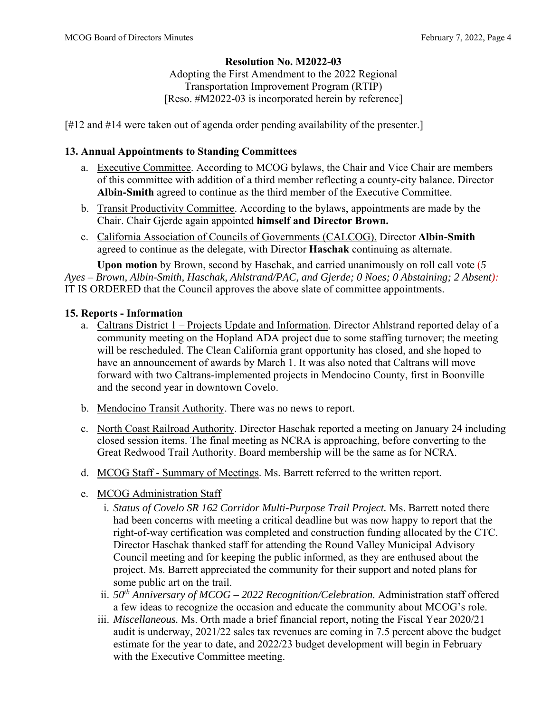# **Resolution No. M2022-03**

Adopting the First Amendment to the 2022 Regional Transportation Improvement Program (RTIP) [Reso. #M2022-03 is incorporated herein by reference]

[#12 and #14 were taken out of agenda order pending availability of the presenter.]

#### **13. Annual Appointments to Standing Committees**

- a. Executive Committee. According to MCOG bylaws, the Chair and Vice Chair are members of this committee with addition of a third member reflecting a county-city balance. Director **Albin-Smith** agreed to continue as the third member of the Executive Committee.
- b. Transit Productivity Committee. According to the bylaws, appointments are made by the Chair. Chair Gjerde again appointed **himself and Director Brown.**
- c. California Association of Councils of Governments (CALCOG). Director **Albin-Smith**  agreed to continue as the delegate, with Director **Haschak** continuing as alternate.

**Upon motion** by Brown, second by Haschak, and carried unanimously on roll call vote (*5 Ayes – Brown, Albin-Smith, Haschak, Ahlstrand/PAC, and Gjerde; 0 Noes; 0 Abstaining; 2 Absent):*  IT IS ORDERED that the Council approves the above slate of committee appointments.

#### **15. Reports - Information**

- a. Caltrans District 1 Projects Update and Information. Director Ahlstrand reported delay of a community meeting on the Hopland ADA project due to some staffing turnover; the meeting will be rescheduled. The Clean California grant opportunity has closed, and she hoped to have an announcement of awards by March 1. It was also noted that Caltrans will move forward with two Caltrans-implemented projects in Mendocino County, first in Boonville and the second year in downtown Covelo.
- b. Mendocino Transit Authority. There was no news to report.
- c. North Coast Railroad Authority. Director Haschak reported a meeting on January 24 including closed session items. The final meeting as NCRA is approaching, before converting to the Great Redwood Trail Authority. Board membership will be the same as for NCRA.
- d. MCOG Staff Summary of Meetings. Ms. Barrett referred to the written report.
- e. MCOG Administration Staff
	- i. *Status of Covelo SR 162 Corridor Multi-Purpose Trail Project.* Ms. Barrett noted there had been concerns with meeting a critical deadline but was now happy to report that the right-of-way certification was completed and construction funding allocated by the CTC. Director Haschak thanked staff for attending the Round Valley Municipal Advisory Council meeting and for keeping the public informed, as they are enthused about the project. Ms. Barrett appreciated the community for their support and noted plans for some public art on the trail.
	- ii. *50th Anniversary of MCOG 2022 Recognition/Celebration.* Administration staff offered a few ideas to recognize the occasion and educate the community about MCOG's role.
	- iii. *Miscellaneous.* Ms. Orth made a brief financial report, noting the Fiscal Year 2020/21 audit is underway, 2021/22 sales tax revenues are coming in 7.5 percent above the budget estimate for the year to date, and 2022/23 budget development will begin in February with the Executive Committee meeting.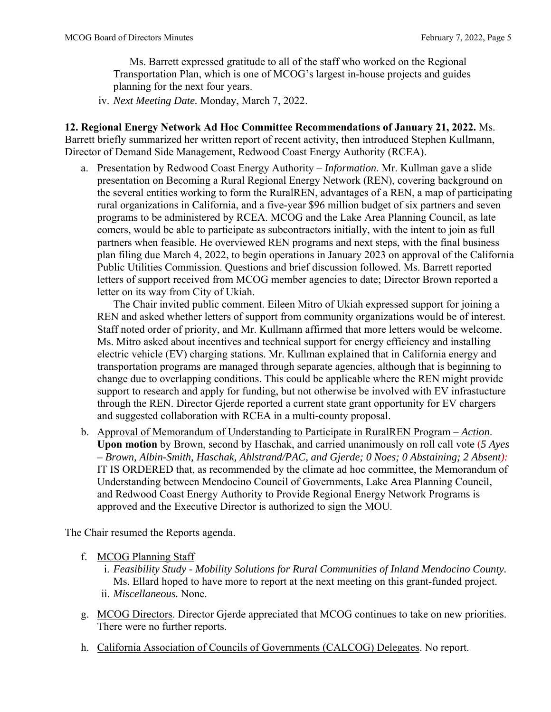Ms. Barrett expressed gratitude to all of the staff who worked on the Regional Transportation Plan, which is one of MCOG's largest in-house projects and guides planning for the next four years.

iv. *Next Meeting Date.* Monday, March 7, 2022.

**12. Regional Energy Network Ad Hoc Committee Recommendations of January 21, 2022.** Ms. Barrett briefly summarized her written report of recent activity, then introduced Stephen Kullmann, Director of Demand Side Management, Redwood Coast Energy Authority (RCEA).

a. Presentation by Redwood Coast Energy Authority – *Information.* Mr. Kullman gave a slide presentation on Becoming a Rural Regional Energy Network (REN), covering background on the several entities working to form the RuralREN, advantages of a REN, a map of participating rural organizations in California, and a five-year \$96 million budget of six partners and seven programs to be administered by RCEA. MCOG and the Lake Area Planning Council, as late comers, would be able to participate as subcontractors initially, with the intent to join as full partners when feasible. He overviewed REN programs and next steps, with the final business plan filing due March 4, 2022, to begin operations in January 2023 on approval of the California Public Utilities Commission. Questions and brief discussion followed. Ms. Barrett reported letters of support received from MCOG member agencies to date; Director Brown reported a letter on its way from City of Ukiah.

The Chair invited public comment. Eileen Mitro of Ukiah expressed support for joining a REN and asked whether letters of support from community organizations would be of interest. Staff noted order of priority, and Mr. Kullmann affirmed that more letters would be welcome. Ms. Mitro asked about incentives and technical support for energy efficiency and installing electric vehicle (EV) charging stations. Mr. Kullman explained that in California energy and transportation programs are managed through separate agencies, although that is beginning to change due to overlapping conditions. This could be applicable where the REN might provide support to research and apply for funding, but not otherwise be involved with EV infrastucture through the REN. Director Gjerde reported a current state grant opportunity for EV chargers and suggested collaboration with RCEA in a multi-county proposal.

b. Approval of Memorandum of Understanding to Participate in RuralREN Program – *Action*. **Upon motion** by Brown, second by Haschak, and carried unanimously on roll call vote (*5 Ayes – Brown, Albin-Smith, Haschak, Ahlstrand/PAC, and Gjerde; 0 Noes; 0 Abstaining; 2 Absent):*  IT IS ORDERED that, as recommended by the climate ad hoc committee, the Memorandum of Understanding between Mendocino Council of Governments, Lake Area Planning Council, and Redwood Coast Energy Authority to Provide Regional Energy Network Programs is approved and the Executive Director is authorized to sign the MOU.

The Chair resumed the Reports agenda.

- f. MCOG Planning Staff
	- i. *Feasibility Study Mobility Solutions for Rural Communities of Inland Mendocino County.* Ms. Ellard hoped to have more to report at the next meeting on this grant-funded project. ii. *Miscellaneous.* None.
- g. MCOG Directors. Director Gjerde appreciated that MCOG continues to take on new priorities. There were no further reports.
- h. California Association of Councils of Governments (CALCOG) Delegates. No report.